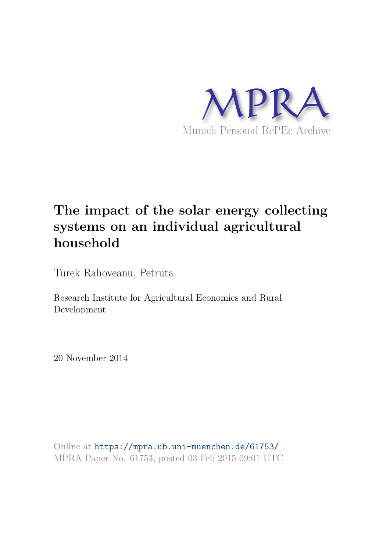

# **The impact of the solar energy collecting systems on an individual agricultural household**

Turek Rahoveanu, Petruta

Research Institute for Agricultural Economics and Rural Development

20 November 2014

Online at https://mpra.ub.uni-muenchen.de/61753/ MPRA Paper No. 61753, posted 03 Feb 2015 09:01 UTC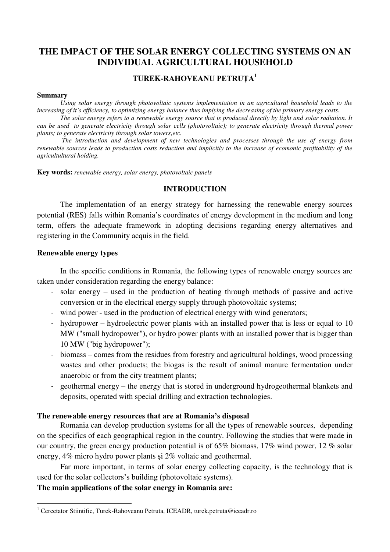## **THE IMPACT OF THE SOLAR ENERGY COLLECTING SYSTEMS ON AN INDIVIDUAL AGRICULTURAL HOUSEHOLD**

#### **TUREK-RAHOVEANU PETRUŢA<sup>1</sup>**

#### **Summary**

*Using solar energy through photovoltaic systems implementation in an agricultural household leads to the increasing of it's efficiency, to optimizing energy balance thus implying the decreasing of the primary energy costs.* 

*The solar energy refers to a renewable energy source that is produced directly by light and solar radiation. It can be used to generate electricity through solar cells (photovoltaic); to generate electricity through thermal power plants; to generate electricity through solar towers,etc.* 

 *The introduction and development of new technologies and processes through the use of energy from renewable sources leads to production costs reduction and implicitly to the increase of ecomonic profitability of the agricultultural holding.* 

**Key words:** *renewable energy, solar energy, photovoltaic panels*

#### **INTRODUCTION**

The implementation of an energy strategy for harnessing the renewable energy sources potential (RES) falls within Romania's coordinates of energy development in the medium and long term, offers the adequate framework in adopting decisions regarding energy alternatives and registering in the Community acquis in the field.

#### **Renewable energy types**

 $\overline{a}$ 

In the specific conditions in Romania, the following types of renewable energy sources are taken under consideration regarding the energy balance:

- solar energy used in the production of heating through methods of passive and active conversion or in the electrical energy supply through photovoltaic systems;
- wind power used in the production of electrical energy with wind generators;
- hydropower hydroelectric power plants with an installed power that is less or equal to 10 MW ("small hydropower"), or hydro power plants with an installed power that is bigger than 10 MW ("big hydropower");
- biomass comes from the residues from forestry and agricultural holdings, wood processing wastes and other products; the biogas is the result of animal manure fermentation under anaerobic or from the city treatment plants;
- geothermal energy the energy that is stored in underground hydrogeothermal blankets and deposits, operated with special drilling and extraction technologies.

#### **The renewable energy resources that are at Romania's disposal**

Romania can develop production systems for all the types of renewable sources, depending on the specifics of each geographical region in the country. Following the studies that were made in our country, the green energy production potential is of 65% biomass, 17% wind power, 12 % solar energy, 4% micro hydro power plants şi 2% voltaic and geothermal.

 Far more important, in terms of solar energy collecting capacity, is the technology that is used for the solar collectors's building (photovoltaic systems).

#### **The main applications of the solar energy in Romania are:**

<sup>&</sup>lt;sup>1</sup> Cercetator Stiintific, Turek-Rahoveanu Petruta, ICEADR, turek.petruta@iceadr.ro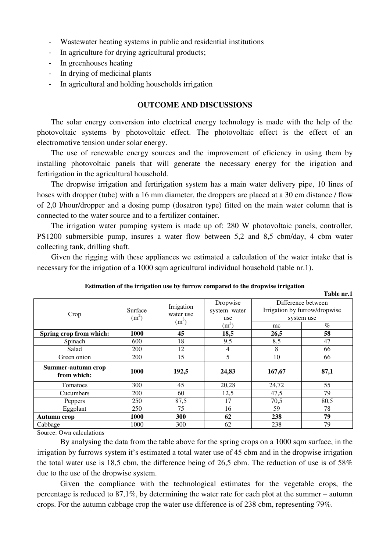- Wastewater heating systems in public and residential institutions
- In agriculture for drying agricultural products;
- In greenhouses heating
- In drying of medicinal plants
- In agricultural and holding households irrigation

#### **OUTCOME AND DISCUSSIONS**

The solar energy conversion into electrical energy technology is made with the help of the photovoltaic systems by photovoltaic effect. The photovoltaic effect is the effect of an electromotive tension under solar energy.

The use of renewable energy sources and the improvement of eficiency in using them by installing photovoltaic panels that will generate the necessary energy for the irigation and fertirigation in the agricultural household.

The dropwise irrigation and fertirigation system has a main water delivery pipe, 10 lines of hoses with dropper (tube) with a 16 mm diameter, the droppers are placed at a 30 cm distance / flow of 2,0 l/hour/dropper and a dosing pump (dosatron type) fitted on the main water column that is connected to the water source and to a fertilizer container.

The irrigation water pumping system is made up of: 280 W photovoltaic panels, controller, PS1200 submersible pump, insures a water flow between 5,2 and 8,5 cbm/day, 4 cbm water collecting tank, drilling shaft.

Given the rigging with these appliances we estimated a calculation of the water intake that is necessary for the irrigation of a 1000 sqm agricultural individual household (table nr.1).

|                                   |                              |                                    |                                            |                                                                                 | Table nr.1 |
|-----------------------------------|------------------------------|------------------------------------|--------------------------------------------|---------------------------------------------------------------------------------|------------|
| Crop                              | Surface<br>(m <sup>2</sup> ) | Irrigation<br>water use<br>$(m^3)$ | Dropwise<br>system water<br>use<br>$(m^3)$ | Difference between<br>Irrigation by furrow/dropwise<br>system use<br>$\%$<br>mc |            |
| Spring crop from which:           | 1000                         | 45                                 | 18,5                                       | 26,5                                                                            | 58         |
| Spinach                           | 600                          | 18                                 | 9,5                                        | 8,5                                                                             | 47         |
| Salad                             | 200                          | 12                                 | 4                                          | 8                                                                               | 66         |
| Green onion                       | 200                          | 15                                 | 5                                          | 10                                                                              | 66         |
| Summer-autumn crop<br>from which: | 1000                         | 192,5                              | 24,83                                      | 167,67                                                                          | 87,1       |
| Tomatoes                          | 300                          | 45                                 | 20,28                                      | 24,72                                                                           | 55         |
| Cucumbers                         | 200                          | 60                                 | 12,5                                       | 47,5                                                                            | 79         |
| Peppers                           | 250                          | 87,5                               | 17                                         | 70,5                                                                            | 80,5       |
| Eggplant                          | 250                          | 75                                 | 16                                         | 59                                                                              | 78         |
| <b>Autumn crop</b>                | 1000                         | 300                                | 62                                         | 238                                                                             | 79         |
| Cabbage                           | 1000                         | 300                                | 62                                         | 238                                                                             | 79         |

**Estimation of the irrigation use by furrow compared to the dropwise irrigation** 

Source: Own calculations

By analysing the data from the table above for the spring crops on a 1000 sqm surface, in the irrigation by furrows system it's estimated a total water use of 45 cbm and in the dropwise irrigation the total water use is 18,5 cbm, the difference being of 26,5 cbm. The reduction of use is of 58% due to the use of the dropwise system.

Given the compliance with the technological estimates for the vegetable crops, the percentage is reduced to 87,1%, by determining the water rate for each plot at the summer – autumn crops. For the autumn cabbage crop the water use difference is of 238 cbm, representing 79%.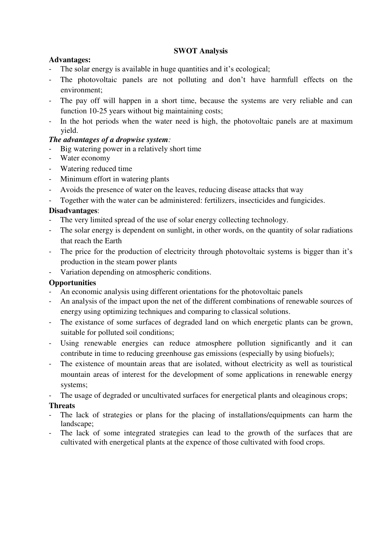#### **SWOT Analysis**

### **Advantages:**

- The solar energy is available in huge quantities and it's ecological;
- The photovoltaic panels are not polluting and don't have harmfull effects on the environment;
- The pay off will happen in a short time, because the systems are very reliable and can function 10-25 years without big maintaining costs;
- In the hot periods when the water need is high, the photovoltaic panels are at maximum yield.

## *The advantages of a dropwise system:*

- Big watering power in a relatively short time
- Water economy
- Watering reduced time
- Minimum effort in watering plants
- Avoids the presence of water on the leaves, reducing disease attacks that way
- Together with the water can be administered: fertilizers, insecticides and fungicides.

## **Disadvantages**:

- The very limited spread of the use of solar energy collecting technology.
- The solar energy is dependent on sunlight, in other words, on the quantity of solar radiations that reach the Earth
- The price for the production of electricity through photovoltaic systems is bigger than it's production in the steam power plants
- Variation depending on atmospheric conditions.

## **Opportunities**

- An economic analysis using different orientations for the photovoltaic panels
- An analysis of the impact upon the net of the different combinations of renewable sources of energy using optimizing techniques and comparing to classical solutions.
- The existance of some surfaces of degraded land on which energetic plants can be grown, suitable for polluted soil conditions;
- Using renewable energies can reduce atmosphere pollution significantly and it can contribute in time to reducing greenhouse gas emissions (especially by using biofuels);
- The existence of mountain areas that are isolated, without electricity as well as touristical mountain areas of interest for the development of some applications in renewable energy systems;
- The usage of degraded or uncultivated surfaces for energetical plants and oleaginous crops;

## **Threats**

- The lack of strategies or plans for the placing of installations/equipments can harm the landscape;
- The lack of some integrated strategies can lead to the growth of the surfaces that are cultivated with energetical plants at the expence of those cultivated with food crops.